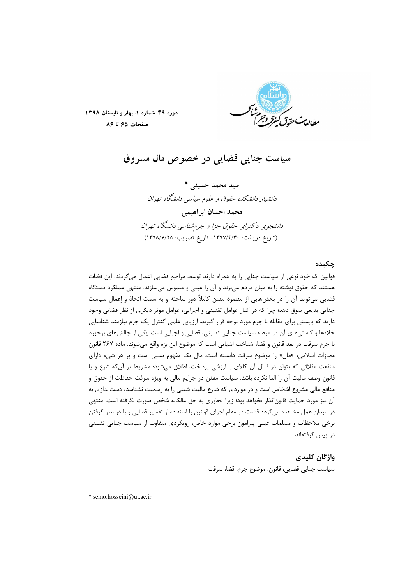

دوره ۴۹، شماره ١، بهار و تابستان ١٣٩٨ صفحات ۶۵ تا ۸۶

سياست جنايي قضايي در خصوص مال مسروق

سید محمد حسینی \* دانشیار دانشکده حقوق و علوم سیاسی دانشگاه تهران محمد احسان ابراهيمي دانشجوی د کترای حقوق جزا و جرمشناسی دانشگاه تهران (تاريخ دريافت: ١٣٩٧/٢/٣٠- تاريخ تصويب: ١٣٩٨/٤/٢٥)

### حكىدە

قوانین که خود نوعی از سیاست جنایی را به همراه دارند توسط مراجع قضایی اعمال میگردند. این قضات هستند که حقوق نوشته را به میان مردم میبرند و آن را عینی و ملموس میسازند. منتهی عملکرد دستگاه قضایی می تواند آن را در بخشهایی از مقصود مقنن کاملاً دور ساخته و به سمت اتخاذ و اعمال سیاست جنایی بدیعی سوق دهد؛ چرا که در کنار عوامل تقنینی و اجرایی، عوامل موثر دیگری از نظر قضایی وجود دارند که بایستی برای مقابله با جرم مورد توجه قرار گیرند. ارزیابی علمی کنترل یک جرم نیازمند شناسایی خلاءها و کاستیهای آن در عرصه سیاست جنایی تقنینی، قضایی و اجرایی است. یکی از چالشهای برخورد با جرم سرقت در بعد قانون و قضا، شناخت اشیایی است که موضوع این بزه واقع میشوند. ماده ۲۶۷ قانون مجازات اسلامی، «مال» را موضوع سرقت دانسته است. مال یک مفهوم نسبی است و بر هر شیء دارای منفعت عقلائی که بتوان در قبال آن کالای با ارزشی پرداخت، اطلاق میشود؛ مشروط بر آن که شرع و یا قانون وصف مالیت آن را الغا نکرده باشد. سیاست مقنن در جرایم مالی به ویژه سرقت حفاظت از حقوق و منافع مالی مشروع اشخاص است و در مواردی که شارع مالیت شیئی را به رسمیت نشناسد، دستاندازی به آن نیز مورد حمایت قانونگذار نخواهد بود؛ زیرا تجاوزی به حق مالکانه شخص صورت نگرفته است. منتهی در میدان عمل مشاهده میگردد قضات در مقام اجرای قوانین با استفاده از تفسیر قضایی و با در نظر گرفتن برخی ملاحظات و مسلمات عینی پیرامون برخی موارد خاص، رویکردی متفاوت از سیاست جنایی تقنینی در پیش گرفتهاند.

#### واژگان کلیدی

سياست جنايي قضايي، قانون، موضوع جرم، قضا، سرقت

\* semo.hosseini@ut.ac.ir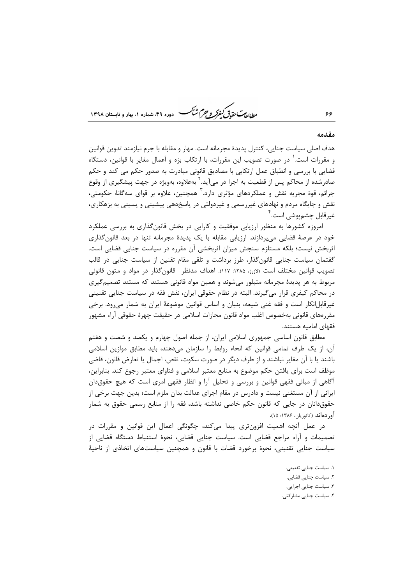*طابع<sup>ت</sup> حقوق کیفرکر و جرم شبک*ر دوره ۴۹، شماره ۱، بهار و تابستان ۱۳۹۸

#### مقدمه

۶۶

هدف اصلي سياست جنايي، كنترل يديدهٔ مجرمانه است. مهار و مقابله با جرم نيازمند تدوين قوانين و مقررات است.' در صورت تصویب این مقررات، با ارتکاب بزه و اَعمال مغایر با قوانین، دستگاه قضایی با بررسی و انطباق عمل ارتکابی با مصادیق قانونی مبادرت به صدور حکم می کند و حکم صادرشده از محاکم پس از قطعیت به اجرا در میآید. ' بهعلاوه، بهویژه در جهت پیشگیری از وقوع جرائم، قوهٔ مجریه نقش و عملکردهای مؤثری دارد. آ همچنین، علاوه بر قوای سهگانهٔ حکومتی، نقش و جایگاه مردم و نهادهای غیررسمی و غیردولتی در پاسخدهی پیشینی و پسینی به بزهکاری، غير قابل چشم.يوشي است. `

امروزه کشورها به منظور ارزیابی موفقیت و کارایی در بخش قانونگذاری به بررسی عملکرد خود در عرصهٔ قضایی میپردازند. ارزیابی مقابله با یک پدیدهٔ مجرمانه تنها در بعد قانونگذاری اثربخش نیست؛ بلکه مستلزم سنجش میزان اثربخشی آن مقرره در سیاست جنایی قضایی است. گفتمان سیاست جنایی قانون گذار، طرز برداشت و تلقی مقام تقنین از سیاست جنایی در قالب تصویب قوانین مختلف است (لازرژ، ۱۳۸۵: ۱۱۷). اهداف مدنظر قانونگذار در مواد و متون قانونی مربوط به هر پدیدهٔ مجرمانه متبلور میشوند و همین مواد قانونی هستند که مستند تصمیمگیری در محاکم کیفری قرار میگیرند. البته در نظام حقوقی ایران، نقش فقه در سیاست جنایی تقنینی غیرقابل|نکار است و فقه غنی شیعه، بنیان و اساس قوانین موضوعهٔ ایران به شمار میرود. برخی مقررەهاي قانوني بەخصوص اغلب مواد قانون مجازات اسلامي در حقيقت چهرۂ حقوقي آراء مشهور فقهای امامیه هستند.

مطابق قانون اساسی جمهوری اسلامی ایران، از جمله اصول چهارم و یکصد و شصت و هفتم آن، از یک طرف تمامی قوانین که انحاء روابط را سازمان میدهند، باید مطابق موازین اسلامی باشند يا با آن مغاير نباشند و از طرف ديگر در صورت سكوت، نقص، اجمال يا تعارض قانون، قاضي موظف است برای یافتن حکم موضوع به منابع معتبر اسلامی و فتاوای معتبر رجوع کند. بنابراین، اًگاهی از مبانی فقهی قوانین و بررسی و تحلیل اّرا و انظار فقهی امری است که هیچ حقوقدان ایرانی از آن مستغنی نیست و دادرس در مقام اجرای عدالت بدان ملزم است؛ بدین جهت برخی از حقوق دانان در جایی که قانون حکم خاصی نداشته باشد، فقه را از منابع رسمی حقوق به شمار آوردهاند (كاتوزيان، ١٣٨۶: ١۵).

در عمل آنچه اهمیت افزونتری پیدا میکند، چگونگی اعمال این قوانین و مقررات در تصمیمات و آراء مراجع قضایی است. سیاست جنایی قضایی، نحوهٔ استنباط دستگاه قضایی از سیاست جنایی تقنینی، نحوهٔ برخورد قضات با قانون و همچنین سیاستهای اتخاذی از ناحیهٔ

- ١. سياست جنايي تقنيني.
- ٢. سياست جنايي قضايي.
- ۳. سیاست جنایی اجرایی.
- ۴. سیاست جنایی مشارکتی.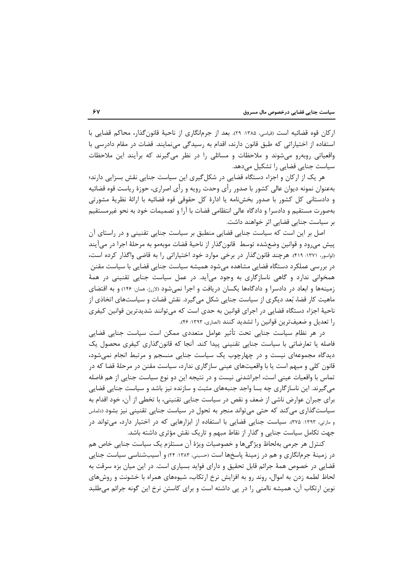اركان قوه قضائيه است (قياسي، ١٣٨۵: ٢٩). بعد از جرمانگاري از ناحيهٔ قانون گذار، محاكم قضايي با استفاده از اختیاراتی که طبق قانون دارند، اقدام به رسیدگی مینمایند. قضات در مقام دادرسی با واقعیاتی روبهرو میشوند و ملاحظات و مسائلی را در نظر میگیرند که برآیند این ملاحظات سیاست جنایی قضایی را تشکیل میدهد.

هر یک از ارکان و اجزاء دستگاه قضایی در شکل گیری این سیاست جنایی نقش بسزایی دارند؛ بهعنوان نمونه دیوان عالی کشور با صدور رأی وحدت رویه و رأی اصراری، حوزهٔ ریاست قوه قضائیه و دادستانی کل کشور با صدور بخشiامه یا ادارهٔ کل حقوقی قوه قضائیه با ارائهٔ نظریهٔ مشورتی بهصورت مستقيم و دادسرا و دادگاه عالي انتظامي قضات با آرا و تصميمات خود به نحو غيرمستقيم بر سیاست جنایی قضایی اثر خواهند داشت.

اصل بر این است که سیاست جنایی قضایی منطبق بر سیاست جنایی تقنینی و در راستای آن پیش می٫رود و قوانین وضعشده توسط ٍ قانون گذار از ناحیهٔ قضات موبهمو به مرحلهٔ اجرا در می آیند (لواسور، ۱۳۷۱: ۴۱۹). هرچند قانون گذار در برخی موارد خود اختیاراتی را به قاضی واگذار کرده است، در بررسی عملکرد دستگاه قضایی مشاهده میشود همیشه سیاست جنایی قضایی با سیاست مقنن همخوانی ندارد و گاهی ناسازگاری به وجود می آید. در عمل سیاست جنایی تقنینی در همهٔ زمینهها و ابعاد در دادسرا و دادگاهها یکسان دریافت و اجرا نمیشود (لازرژ، همان: ۱۴۶) و به اقتضای ماهیت کار قضا، بُعد دیگری از سیاست جنایی شکل میگیرد. نقش قضات و سیاستهای اتخاذی از ناحیهٔ اجزاء دستگاه قضایی در اجرای قوانین به حدی است که میتوانند شدیدترین قوانین کیفری را تعدیل و ضعیفترین قوانین را تشدید کنند (انصاری، ۱۳۹۳: ۴۶).

در هر نظام سیاست جنایی تحت تأثیر عوامل متعددی ممکن است سیاست جنایی قضایی فاصله یا تعارضاتی با سیاست جنایی تقنینی پیدا کند. آنجا که قانون گذاری کیفری محصول یک دیدگاه مجموعهای نیست و در چهارچوب یک سیاست جنایی منسجم و مرتبط انجام نمی شود، قانون کلی و مبهم است یا با واقعیتهای عینی سازگاری ندارد، سیاست مقنن در مرحلهٔ قضا که در تماس با واقعیات عینی است، اجراشدنی نیست و در نتیجه این دو نوع سیاست جنایی از هم فاصله میگیرند. این ناسازگاری چه بسا واجد جنبههای مثبت و سازنده نیز باشد و سیاست جنایی قضایی برای جبران عوارض ناشی از ضعف و نقص در سیاست جنایی تقنینی، با تخطی از آن، خود اقدام به سیاست گذاری می کند که حتی می تواند منجر به تحول در سیاست جنایی تقنینی نیز بشود (دلماس و مارتی، ۱۳۹۳: ۳۷۵). سیاست جنایی قضایی با استفاده از ابزارهایی که در اختیار دارد، می تواند در جهت تکامل سیاست جنایی و گذار از نقاط مبهم و تاریک نقش مؤثری داشته باشد.

كنترل هر جرمي بهلحاظ ويژگيها و خصوصيات ويژهٔ آن مستلزم يک سياست جنايي خاص هم در زمینهٔ جرمانگاری و هم در زمینهٔ پاسخها است (حسینی، ۱۳۸۳: ۲۴) و آسیبشناسی سیاست جنایی قضایی در خصوص همهٔ جرائم قابل تحقیق و دارای فواید بسیاری است. در این میان بزه سرقت به لحاظ لطمه زدن به اموال، روند رو به افزایش نرخ ارتکاب، شیوههای همراه با خشونت و روشهای نوین ارتکاب آن، همیشه ناامنی را در پی داشته است و برای کاستن نرخ این گونه جرائم میطلبد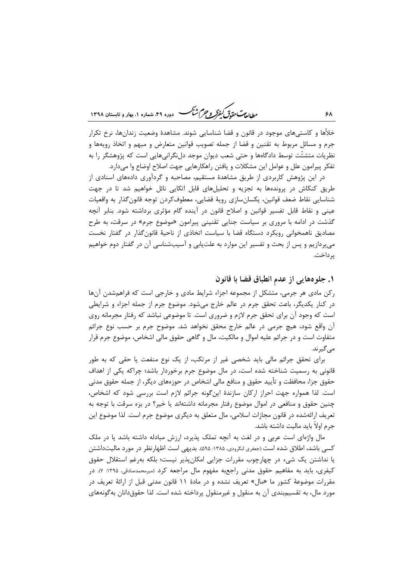ر<br>رواده سی متحدق کفر و جرم شنگ هست دوده ۴۹، شهاره ۱، بعاد و قابستان ۱۳۹۸

خلأها و كاستی@ای موجود در قانون و قضا شناسایی شوند. مشاهدهٔ وضعیت زندانها، نرخ تكرار جرم و مسائل مربوط به تقنین و قضا از جمله تصویب قوانین متعارض و مبهم و اتخاذ رویهها و نظریات متشتّت توسط دادگاهها و حتی شعب دیوان موجد دل¿گرانیهایی است که پژوهشگر را به تفكر پيرامون علل و عوامل اين مشكلات و يافتن راهكارهايي جهت اصلاح اوضاع وا ميدارد.

در این پژوهش کاربردی از طریق مشاهدهٔ مستقیم، مصاحبه و گردآوری دادههای اسنادی از طریق کنکاش در پروندهها به تجزیه و تحلیلهای قابل اتکایی نائل خواهیم شد تا در جهت شناسايي نقاط ضعف قوانين، يكسانسازي رويهٔ قضايي، معطوفكردن توجه قانون گذار به واقعيات عینی و نقاط قابل تفسیر قوانین و اصلاح قانون در آینده گام مؤثری برداشته شود. بنابر آنچه گذشت در ادامه با مروری بر سیاست جنایی تقنینی پیرامون «موضوع جرم» در سرقت، به طرح مصادیق ناهمخوانی رویکرد دستگاه قضا با سیاست اتخاذی از ناحیهٔ قانون گذار در گفتار نخست می پردازیم و پس از بحث و تفسیر این موارد به علتLیابی و آسیبشناسی آن در گفتار دوم خواهیم د داخت.

۱. جلو٥هایی از عدم انطباق قضا با قانون

رکن مادی هر جرمی، متشکل از مجموعه اجزاء شرایط مادی و خارجی است که فراهم شدن آنها در کنار یکدیگر، باعث تحقق جرم در عالم خارج میشود. موضوع جرم از جمله اجزاء و شرایطی است که وجود آن برای تحقق جرم لازم و ضروری است. تا موضوعی نباشد که رفتار مجرمانه روی آن واقع شود، هیچ جرمی در عالم خارج محقق نخواهد شد. موضوح جرم بر حسب نوع جرائم متفاوت است و در جرائم علیه اموال و مالکیت، مال و گاهی حقوق مالی اشخاص، موضوع جرم قرار مے گیرند.

برای تحقق جرائم مالی باید شخصی غیر از مرتکب، از یک نوع منفعت یا حقی که به طور قانونی به رسمیت شناخته شده است، در مال موضوع جرم برخوردار باشد؛ چراکه یکی از اهداف حقوق جزا، محافظت و تأييد حقوق و منافع مالي اشخاص در حوزههاي ديگر، از جمله حقوق مدني است. لذا همواره جهت احراز اركان سازندهٔ اینگونه جرائم لازم است بررسی شود كه اشخاص، چنین حقوق و منافعی در اموال موضوع رفتار مجرمانه داشتهاند یا خیر؟ در بزه سرقت با توجه به تعریف ارائهشده در قانون مجازات اسلامی، مال متعلق به دیگری موضوع جرم است. لذا موضوع این جرم اولاً باید مالیت داشته باشد.

مال واژهای است عربی و در لغت به آنچه تملک پذیرد، ارزش مبادله داشته باشد یا در ملک کسی باشد، اطلاق شده است (جعفری لنگرودی، ۱۳۸۵: ۵۹۵). بدیهی است اظهارنظر در مورد مالیتداشتن یا نداشتن یک شیء در چهارچوب مقررات جزایی امکان پذیر نیست؛ بلکه بهرغم استقلال حقوق کیفری، باید به مفاهیم حقوق مدنی راجعبه مفهوم مال مراجعه کرد (میرمحمدصادقی، ۱۳۹۵: ۷). در مقررات موضوعهٔ کشور ما «مال» تعریف نشده و در مادهٔ ۱۱ قانون مدنی قبل از ارائهٔ تعریف در مورد مال، به تقسیمٖبندی آن به منقول و غیرمنقول پرداخته شده است. لذا حقوقدانان بهگونههای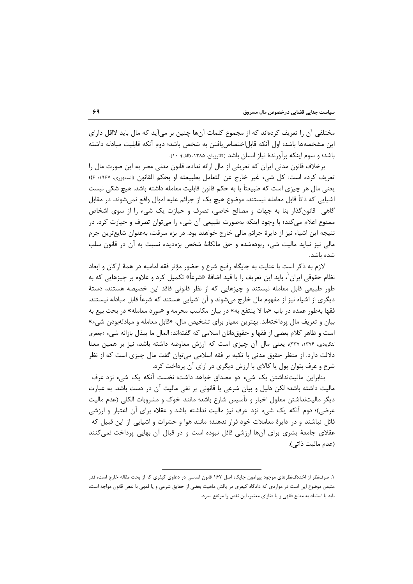مختلفی آن را تعریف کردهاند که از مجموع کلمات آنها چنین بر میآید که مال باید لااقل دارای این مشخصهها باشد: اول آنکه قابل|ختصاص یافتن به شخص باشد؛ دوم آنکه قابلیت مبادله داشته باشد؛ و سوم اینکه بر آورندهٔ نیاز انسان باشد (کاتوزیان، ۱۳۸۵، (الف): ۱۰).

برخلاف قانون مدنی ایران که تعریفی از مال ارائه نداده، قانون مدنی مصر به این صورت مال را تعريف كرده است: كل شيء غير خارج عن التعامل بطبيعته او بحكم القانون (السنهوري، ١٩٤٧: ۶)؛ يعني مال هر چيزي است كه طبيعتاً يا به حكم قانون قابليت معامله داشته باشد. هيچ شكي نيست اشيايي كه ذاتاً قابل معامله نيستند، موضوع هيچ يک از جرائم عليه اموال واقع نميشوند. در مقابل گاهی قانونگذار بنا به جهات و مصالح خاصی، تصرف و حیازت یک شیء را از سوی اشخاص ممنوع اعلام میکند؛ با وجود اینکه بهصورت طبیعی آن شیء را می¤وان تصرف و حیازت کرد. در نتیجه این اشیاء نیز از دایرهٔ جرائم مالی خارج خواهند بود. در بزه سرقت، بهعنوان شایعترین جرم مالی نیز نباید مالیت شیء ربودهشده و حق مالکانهٔ شخص بزهدیده نسبت به آن در قانون سلب شده باشد.

لازم به ذکر است با عنایت به جایگاه رفیع شرع و حضور مؤثر فقه امامیه در همهٔ ارکان و ابعاد نظام حقوقی ایران <sup>۱</sup>، باید این تعریف ۱٫ با قید اضافهٔ «شرعاً» تکمیل کرد و علاوه بر چیزهایی که به طور طبیعی قابل معامله نیستند و چیزهایی که از نظر قانونی فاقد این خصیصه هستند، دستهٔ دیگری از اشیاء نیز از مفهوم مال خارج میشوند و آن اشیایی هستند که شرعاً قابل مبادله نیستند. فقها بهطور عمده در باب «ما لا ينتفع به» در بيان مكاسب محرمه و «مورد معامله» در بحث بيع به بیان و تعریف مال پرداختهاند. بهترین معیار برای تشخیص مال، «قابل معامله و مبادلهبودن شیء» است و ظاهر كلام بعضي از فقها و حقوقدانان اسلامي كه گفتهاند: المال ما يبذل بازائه شيء (جعفري لنگرودی، ۱۳۷۶: ۳۳۷)، یعنی مال آن چیزی است که ارزش معاوضه داشته باشد، نیز بر همین معنا دلالت دارد. از منظر حقوق مدنی با تکیه بر فقه اسلامی می توان گفت مال چیزی است که از نظر شرع و عرف بتوان پول یا کالای با ارزش دیگری در ازای آن پرداخت کرد.

بنابراین مالیتنداشتن یک شیء دو مصداق خواهد داشت: نخست آنکه یک شیء نزد عرف مالیت داشته باشد؛ لکن دلیل و بیان شرعی یا قانونی بر نفی مالیت آن در دست باشد. به عبارت دیگر مالیتنداشتن معلول اخبار و تأسیس شارع باشد؛ مانند خوک و مشروبات الکلی (عدم مالیت عرضی)؛ دوم آنکه یک شیء نزد عرف نیز مالیت نداشته باشد و عقلاء برای آن اعتبار و ارزشی قائل نباشند و در دایرهٔ معاملات خود قرار ندهند؛ مانند هوا و حشرات و اشیایی از این قبیل که عقلای جامعهٔ بشری برای آنها ارزشی قائل نبوده است و در قبال آن بهایی پرداخت نمیکنند (عدم ماليت ذاتي).

١. صرفنظر از اختلافنظرهاي موجود پيرامون جايگاه اصل ١٤٧ قانون اساسي در دعاوي كيفري كه از بحث مقاله خارج است، قدر متيقن موضوع اين است در مواردي كه دادگاه كيفري در يافتن ماهيت بعضي از حقايق شرعي و يا فقهي با نقص قانون مواجه است، باید با استناد به منابع فقهی و یا فتاوای معتبر، این نقص را مرتفع سازد.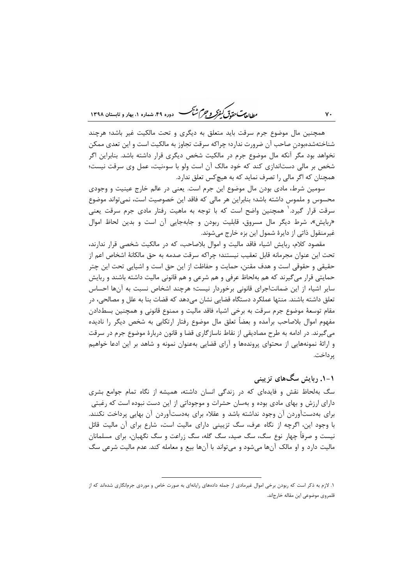ر<br>مطال<del>یات حقیق کفرکر و جرم شنگ</del> هوده ۴۹، شعاره ۱، بعاد و قابستان ۱۳۹۸

همچنین مال موضوع جرم سرقت باید متعلق به دیگری و تحت مالکیت غیر باشد؛ هرچند شناختهشدهبودن صاحب آن ضرورت ندارد؛ چراکه سرقت تجاوز به مالکیت است و این تعدی ممکن نخواهد بود مگر آنکه مال موضوع جرم در مالکیت شخص دیگری قرار داشته باشد. بنابراین اگر شخص بر مالی دستاندازی کند که خود مالک آن است ولو با سوءنیت، عمل وی سرقت نیست؛ همچنان که اگر مالی را تصرف نماید که به هیچکس تعلق ندارد.

سومین شرط، مادی بودن مال موضوع این جرم است. یعنی در عالم خارج عینیت و وجودی محسوس و ملموس داشته باشد؛ بنابراین هر مالی که فاقد این خصوصیت است، نمی¤واند موضوع سرقت قرار گیرد. ٰ همچنین واضح است که با توجه به ماهیت رفتار مادی جرم سرقت یعنی «ربایش»، شرط دیگر مال مسروق، قابلیت ربودن و جابهجایی آن است و بدین لحاظ اموال غیرمنقول ذاتی از دایرهٔ شمول این بزه خارج میشوند.

مقصود كلام، ربايش اشياء فاقد ماليت و اموال بلاصاحب، كه در مالكيت شخصى قرار ندارند، تحت اين عنوان مجرمانه قابل تعقيب نيستند؛ چراكه سرقت صدمه به حق مالكانهٔ اشخاص اعم از حقیقی و حقوقی است و هدف مقنن، حمایت و حفاظت از این حق است و اشیایی تحت این چتر حمایتی قرار می گیرند که هم بهلحاظ عرفی و هم شرعی و هم قانونی مالیت داشته باشند و ربایش سایر اشیاء از این ضمانتاجرای قانونی برخوردار نیست؛ هرچند اشخاص نسبت به آنها احساس تعلق داشته باشند. منتها عملكرد دستگاه قضايي نشان ميدهد كه قضات بنا به علل و مصالحي، در مقام توسعهٔ موضوع جرم سرقت به برخی اشیاء فاقد مالیت و ممنوع قانونی و همچنین بسطدادن مفهوم اموال بلاصاحب برآمده و بعضاً تعلق مال موضوع رفتار ارتكابي به شخص ديگر را ناديده میگیرند. در ادامه به طرح مصادیقی از نقاط ناسازگاری قضا و قانون دربارهٔ موضوع جرم در سرقت و ارائهٔ نمونههایی از محتوای پروندهها و آرای قضایی بهعنوان نمونه و شاهد بر این ادعا خواهیم یر داخت.

۱-۱. ربایش سگ۱های تزیینی

سگ بهلحاظ نقش و فایدهای که در زندگی انسان داشته، همیشه از نگاه تمام جوامع بشری دارای ارزش و بهای مادی بوده و بهسان حشرات و موجوداتی از این دست نبوده است که رغبتی برای بهدستآوردن آن وجود نداشته باشد و عقلاء برای بهدستآوردن آن بهایی پرداخت نکنند. با وجود این، اگرچه از نگاه عرف، سگ تزیینی دارای مالیت است، شارع برای آن مالیت قائل نیست و صرفاً چهار نوع سگ، سگ صید، سگ گله، سگ زراعت و سگ نگهبان، برای مسلمانان مالیت دارد و او مالک آنها میشود و میتواند با آنها بیع و معامله کند. عدم مالیت شرعی سگ

٧٠

۱. لازم به ذکر است که ربودن برخی اموال غیرمادی از جمله دادههای رایانهای به صورت خاص و موردی جرمانگاری شدهاند که از قلمروي موضوعي اين مقاله خارجاند.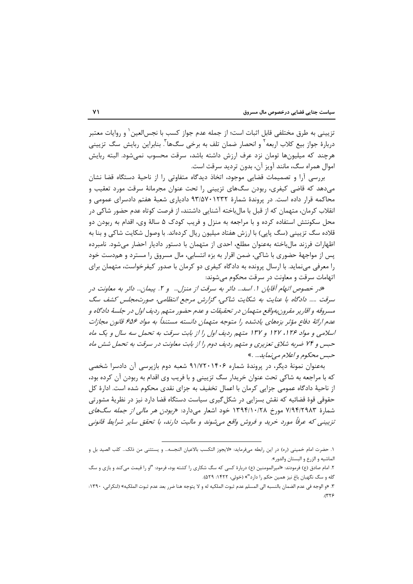تزييني به طرق مختلفي قابل اثبات است؛ از جمله عدم جواز كسب با نجس|لعين` و روايات معتبر دربارهٔ جواز بیع کلاب اربعه<sup>۲</sup> و انحصار ضمان تلف به برخی سگ@ <sup>۳</sup>. بنابراین ربایش سگ تزیینی هرچند که میلیونها تومان نزد عرف ارزش داشته باشد، سرقت محسوب نمی شود. البته ربایش اموال همراه سگ، مانند آویز آن، بدون تردید سرقت است.

بررسی آرا و تصمیمات قضایی موجود، اتخاذ دیدگاه متفاوتی را از ناحیهٔ دستگاه قضا نشان میدهد که قاضی کیفری، ربودن سگـهای تزیینی را تحت عنوان مجرمانهٔ سرقت مورد تعقیب و محاکمه قرار داده است. در پروندهٔ شمارهٔ ۹۳/۵۷۰۱۲۳۲ دادیاری شعبهٔ هفتم دادسرای عمومی و انقلاب کرمان، متهمان که از قبل با مالباخته آشنایی داشتند، از فرصت کوتاه عدم حضور شاکی در محل سکونتش استفاده کرده و با مراجعه به منزل و فریب کودک ۵ سالهٔ وی، اقدام به ربودن دو قلاده سگ تزیینی (سگ پاپی) با ارزش هفتاد میلیون ریال کردهاند. با وصول شکایت شاکی و بنا به اظهارات فرزند مالباخته بهعنوان مطلع، احدى از متهمان با دستور داديار احضار مى شود. نامبرده پس از مواجههٔ حضوری با شاکی، ضمن اقرار به بزه انتسابی، مال مسروق را مسترد و هم دست خود را معرفی مینماید. با ارسال پرونده به دادگاه کیفری دو کرمان با صدور کیفرخواست، متهمان برای اتهامات سرقت و معاونت در سرقت محکوم می شوند:

«در خصوص اتهام آقایان ۱. اسد... دائر به سرقت از منزل... و ۲. پیمان... دائر به معاونت در سرقت ..... دادگاه با عنایت به شکایت شاکی، گزارش مرجع انتظامی، صورتمجلس کشف سگ مسروقه و اقاریر مقرونبهواقع متهمان در تحقیقات و عدم حضور متهم ردیف اول در جلسهٔ دادگاه و عدم ارائهٔ دفاع مؤثر بزههای یادشده را متوجه متهمان دانسته مستنداً به مواد ۵۵۶ قانون مجازات اسلامی و مواد ۱۲۶، ۱۲۷ و ۱۳۷ متهم ردیف اول را از بابت سرقت به تحمل سه سال و یک ماه حبس و ۷۴ ضربه شلاق تعزیری و متهم ردیف دوم را از بابت معاونت در سرقت به تحمل شش ماه حبس محکوم و اعلام مي نمايد... .»

بهعنوان نمونهٔ دیگر، در پروندهٔ شماره ۹۱/۷۲۰۱۴۰۶ شعبه دوم بازپرسی آن دادسرا شخصی که با مراجعه به شاکی تحت عنوان خریدار سگ تزیینی و با فریب وی اقدام به ربودن آن کرده بود، از ناحیهٔ دادگاه عمومی جزایی کرمان با اعمال تخفیف به جزای نقدی محکوم شده است. ادارهٔ کل حقوقی قوهٔ قضائیه که نقش بسزایی در شکل گیری سیاست دستگاه قضا دارد نیز در نظریهٔ مشورتی شمارهٔ ۷/۹۴/۲۹۸۳ مورخ ۱۳۹۴/۱۰/۲۸ خود اشعار میدارد: *«ربودن هر مالی از جمله سگهای* تزیینی که عرفاً مورد خرید و فروش واقع مے شوند و مالیت دارند، با تحقق سایر شرایط قانونی

١. حضرت امام خميني (ره) در اين رابطه ميفرمايد: «لايجوز التكسب بالاعيان النجسه... و يستثني من ذلك... كلب الصيد بل و الماشيه و الزرع و البستان والدور».

۲. امام صادق (ع) فرمودند: «امیرالمومنین (ع) دربارهٔ کسی که سگ شکاری را کشته بود، فرمود: "او را قیمت میکند و بازی و سگ گله و سگ نگهبان باغ نیز همین حکم را دارد"» (خوئی، ۱۴۲۲: ۵۲۹).

٣. «و الوجه في عدم الضمان بالنسبه الي المسلم عدم ثبوت الملكيه له و لا يتوجه هنا ضرر بعد عدم ثبوت الملكيه» (لنكراني، ١٣٩٠:  $.0779$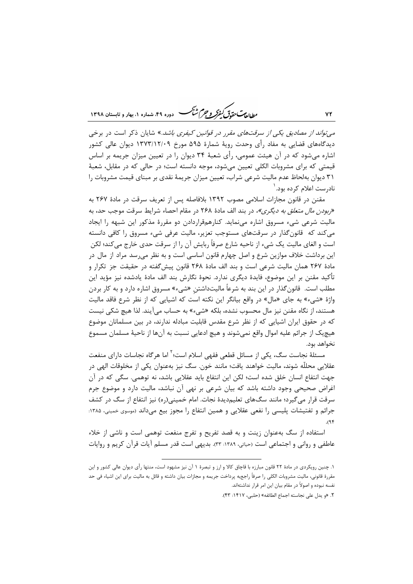ر<br>مط *لامت حقدق گفرگر و جرم شنگ* هوده ۴۹، شعاره ۱، بعاد و تابستان ۱۳۹۸

*می تواند از مصادیق یکی از سرقتهای مقرر در قوانین کیفری باشد*.» شایان ذکر است در برخی دیدگاههای قضایی به مفاد رأی وحدت رویهٔ شمارهٔ ۵۹۵ مورخ ۱۳۷۳/۱۲/۰۹ دیوان عالی کشور اشاره می شود که در آن هیئت عمومی، رأی شعبهٔ ۳۴ دیوان را در تعیین میزان جریمه بر اساس قیمتی که برای مشروبات الکلی تعیین میشود، موجه دانسته است؛ در حالی که در مقابل، شعبهٔ ۳۱ دیوان بهلحاظ عدم مالیت شرعی شراب، تعیین میزان جریمهٔ نقدی بر مبنای قیمت مشروبات را نادرست اعلام کرده بود. '

مقنن در قانون مجازات اسلامی مصوب ۱۳۹۲ بلافاصله پس از تعریف سرقت در مادهٔ ۲۶۷ به «ربودن م*ال متعلق به دیگری»،* در بند الف مادهٔ ۲۶۸ در مقام احصاء شرایط سرقت موجب حد، به مالیت شرعی شیء مسروق اشاره مینماید. کنارهمقراردادن دو مقررهٔ مذکور این شبهه را ایجاد میکند که قانونگذار در سرقتهای مستوجب تعزیر، مالیت عرفی شیء مسروق را کافی دانسته است و الغای مالیت یک شیء از ناحیه شارع صرفاً ربایش آن را از سرقت حدی خارج می کند؛ لکن این برداشت خلاف موازین شرع و اصل چهارم قانون اساسی است و به نظر می<sub>،</sub>رسد مراد از مال در مادهٔ ۲۶۷ همان مالیت شرعی است و بند الف مادهٔ ۲۶۸ قانون پیش گفته در حقیقت جز تکرار و تأكيد مقنن بر اين موضوع، فايدهٔ ديگري ندارد. نحوهٔ نگارش بند الف مادهٔ يادشده نيز مؤيد اين مطلب است. قانونگذار در این بند به شرعاً مالیتداشتن «شیء» مسروق اشاره دارد و به کار بردن واژهٔ «شيء» به جاي «مال» در واقع بيانگر اين نكته است كه اشيايي كه از نظر شرع فاقد ماليت هستند، از نگاه مقنن نیز مال محسوب نشده، بلکه «شیء» به حساب میآیند. لذا هیچ شکی نیست که در حقوق ایران اشیایی که از نظر شرع مقدس قابلیت مبادله ندارند، در بین مسلمانان موضوع هیچیک از جرائم علیه اموال واقع نمیشوند و هیچ ادعایی نسبت به آنها از ناحیهٔ مسلمان مسموع نخواهد بود.

مسئلهٔ نجاست سگ، یکی از مسائل قطعی فقهی اسلام است؛ <sup>۲</sup> اما هرگاه نجاسات دارای منفعت عقلایی محللّه شوند، مالیت خواهند یافت؛ مانند خون. سگ نیز بهعنوان یکی از مخلوقات الهی در جهت انتفاع انسان خلق شده است؛ لكن اين انتفاع بايد عقلايي باشد، نه توهمي. سگي كه در آن اغراض صحیحی وجود داشته باشد که بیان شرعی بر نهی آن نباشد، مالیت دارد و موضوع جرم سرقت قرار می گیرد؛ مانند سگ@ای تعلیمدیدهٔ نجات. امام خمینی(ره) نیز انتفاع از سگ در کشف جرائم و تفتیشات پلیسی را نفعی عقلایی و همین انتفاع را مجوز بیع میداند (موسوی خمینی، ۱۳۸۵:  $.95$ 

استفاده از سگ بهعنوان زینت و به قصد تفریح و تفرج منفعت توهمی است و ناشی از خلاء عاطفي و رواني و اجتماعي است (حياتي، ١٣٨٩: ٣٣). بديهي است قدر مسلم آيات قرآن كريم و روايات

 $YY$ 

۱. چنین رویکردی در مادهٔ ۲۲ قانون مبارزه با قاچاق کالا و ارز و تبصرهٔ ۱ آن نیز مشهود است، منتها رأی دیوان عالی کشور و این مقررهٔ قانونی، مالیت مشروبات الکلی را صرفاً راجع؛ه پرداخت جریمه و مجازات بیان داشته و قائل به مالیت برای این اشیاء فی حد نفسه نبوده و اصولاً در مقام بيان اين امر قرار نداشتهاند.

٢. «و يدل على نجاسته اجماع الطائفه» (حلبي، ١٤١٧: ٣٣).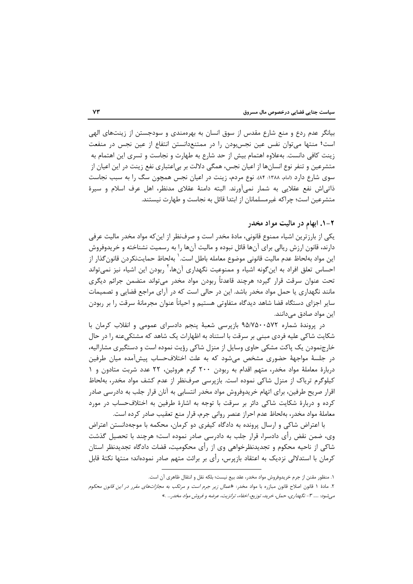بیانگر عدم ردع و منع شارع مقدس از سوق انسان به بهرهمندی و سودجستن از زینتهای الهی است؛ منتها میتوان نفس عین نجس بودن را در ممتنعدانستن انتفاع از عین نجس در منفعت زینت کافی دانست. بهعلاوه اهتمام بیش از حد شارع به طهارت و نجاست و تسری این اهتمام به متشرعین و تنفر نوع انسانها از اعیان نجس، همگی دلالت بر بی|عتباری نفع زینت در این اعیان از سوی شارع دارد (امام، ۱۳۸۸: ۸۴). نوع مردم، زینت در اعیان نجس همچون سگ را به سبب نجاست ذاتی|ش نفع عقلایی به شمار نمیآورند. البته دامنهٔ عقلای مدنظر، اهل عرف اسلام و سیرهٔ متشرعین است؛ چراکه غیرمسلمانان از ابتدا قائل به نجاست و طهارت نیستند.

#### ۲-۱. ابهام در مالیت مواد مخدر

یکی از بارزترین اشیاء ممنوع قانونی، مادهٔ مخدر است و صرفنظر از این که مواد مخدر مالیت عرفی دارند، قانون ارزش ریالی برای آنها قائل نبوده و مالیت آنها را به رسمیت نشناخته و خریدوفروش اين مواد بهلحاظ عدم ماليت قانوني موضوع معامله باطل است. ٰ بهلحاظ حمايتنكردن قانون گذار از احساس تعلق افراد به این *گ*ونه اشیاء و ممنوعیت نگهداری آنها، <sup>۲</sup> ربودن این اشیاء نیز نمی *ت*واند تحت عنوان سرقت قرار گیرد؛ هرچند قاعدتاً ربودن مواد مخدر میتواند متضمن جرائم دیگری مانند نگهداری یا حمل مواد مخدر باشد. این در حالی است که در آرای مراجع قضایی و تصمیمات سایر اجزای دستگاه قضا شاهد دیدگاه متفاوتی هستیم و احیاناً عنوان مجرمانهٔ سرقت را بر ربودن این مواد صادق میدانند.

در پروندهٔ شماره ۹۵/۷۵۰۰۵۷۲ بازپرسی شعبهٔ پنجم دادسرای عمومی و انقلاب کرمان با شکایت شاکی علیه فردی مبنی بر سرقت با استناد به اظهارات یک شاهد که مشتکی عنه را در حال خارجنمودن یک پاکت مشکی حاوی وسایل از منزل شاکی رؤیت نموده است و دستگیری مشارالیه، در جلسهٔ مواجههٔ حضوری مشخص میشود که به علت اختلافحساب پیشآمده میان طرفین دربارهٔ معاملهٔ مواد مخدر، متهم اقدام به ربودن ۲۰۰ گرم هروئین، ۲۲ عدد شربت متادون و ۱ کیلوگرم تریاک از منزل شاکی نموده است. بازپرسی صرفنظر از عدم کشف مواد مخدر، بهلحاظ اقرار صریح طرفین، برای اتهام خریدوفروش مواد مخدر انتسابی به آنان قرار جلب به دادرسی صادر کرده و دربارهٔ شکایت شاکی دائر بر سرقت با توجه به اشارهٔ طرفین به اختلافحساب در مورد معاملهٔ مواد مخدر، بهلحاظ عدم احراز عنصر روانی جرم، قرار منع تعقیب صادر کرده است.

با اعتراض شاکی و ارسال پرونده به دادگاه کیفری دو کرمان، محکمه با موجهدانستن اعتراض وی، ضمن نقض رأی دادسرا، قرار جلب به دادرسی صادر نموده است؛ هرچند با تحصیل گذشت شاکی از ناحیه محکوم و تجدیدنظرخواهی وی از رأی محکومیت، قضات دادگاه تجدیدنظر استان کرمان با استدلالی نزدیک به اعتقاد بازپرس، رأی بر برائت متهم صادر نمودهاند؛ منتها نکتهٔ قابل

١. منظور مقنن از جرم خريدوفروش مواد مخدر، عقد بيع نيست؛ بلكه نقل و انتقال ظاهري آن است.

۲. مادهٔ ۱ قانون اصلاح قانون مبازره با مواد مخدر: «*عمال زیر جرم است و مرتکب به مجازاتهای مقرر در این قانون محکوم* می شود: ..... ۳ - نگهداری، حمل، خرید، توزیع، اخفاء، ترانزیت، عرضه و فروش مواد مخدر... .»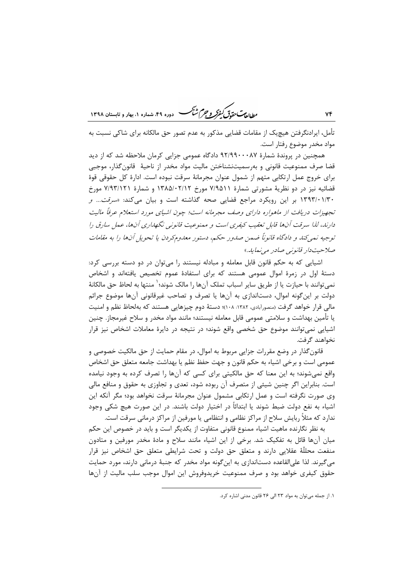تأمل، ایرادنگرفتن هیچیک از مقامات قضایی مذکور به عدم تصور حق مالکانه برای شاکی نسبت به مواد مخدر موضوع رفتار است.

همچنین در پروندهٔ شمارهٔ ۹۲/۹۹۰۰۰۸۷ دادگاه عمومی جزایی کرمان ملاحظه شد که از دید قضا صرف ممنوعیت قانونی و بهرسمیتنشناختن مالیت مواد مخدر از ناحیهٔ قانونگذار، موجبی براي خروج عمل ارتكابي متهم از شمول عنوان مجرمانهٔ سرقت نبوده است. ادارهٔ كل حقوقي قوهٔ قضائیه نیز در دو نظریهٔ مشورتی شمارهٔ ۷/۹۵۱۱ مورخ ۱۳۸۵/۰۲/۱۲ و شمارهٔ ۷/۹۳/۱۲۱ مورخ ۱۳۹۳/۰۱/۳۰ بر این رویکرد مراجع قضایی صحه گذاشته است و بیان میکند: «*سرقت... و* تجهیزات دریافت از ماهواره دارای وصف مجرمانه است؛ چون اشیای مورد استعلام عرفاً مالیت دارند، لذا سرقت آنها قابل تعقیب کیفری است و مهنوعیت قانونی نگهداری آنها، عمل سارق را توجيه نمي كند و دادگاه قانوناً ضمن صدور حكم، دستور معدومكردن يا تحويل آنها را به مقامات صلاحيت دار قانونبي صادر مي نمايد.»

اشیایی که به حکم قانون قابل معامله و مبادله نیستند را می توان در دو دسته بررسی کرد: دستهٔ اول در زمرهٔ اموال عمومی هستند که برای استفادهٔ عموم تخصیص یافتهاند و اشخاص نمي توانند با حيازت يا از طريق ساير اسباب تملك آنها را مالک شوند؛ ` منتها به لحاظ حق مالكانهٔ دولت بر این گونه اموال، دستاندازی به آنها یا تصرف و تصاحب غیرقانونی آنها موضوع جرائم مالي قرار خواهد گرفت (منصورآبادي، ١٣٨٢: ١٠٨)؛ دستهٔ دوم چيزهايي هستند كه بهلحاظ نظم و امنيت یا تأمین بهداشت و سلامتی عمومی قابل معامله نیستند؛ مانند مواد مخدر و سلاح غیرمجاز. چنین اشیایی نمیتوانند موضوع حق شخصی واقع شوند؛ در نتیجه در دایرهٔ معاملات اشخاص نیز قرار نخواهند گرفت.

قانون گذار در وضع مقررات جزایی مربوط به اموال، در مقام حمایت از حق مالکیت خصوصی و عمومی است و برخی اشیاء به حکم قانون و جهت حفظ نظم یا بهداشت جامعه متعلق حق اشخاص واقع نمیشوند؛ به این معنا که حق مالکیتی برای کسی که آنها را تصرف کرده به وجود نیامده است. بنابراین اگر چنین شیئی از متصرف آن ربوده شود، تعدی و تجاوزی به حقوق و منافع مالی وی صورت نگرفته است و عمل ارتکابی مشمول عنوان مجرمانهٔ سرقت نخواهد بود؛ مگر آنکه این اشیاء به نفع دولت ضبط شوند یا ابتدائاً در اختیار دولت باشند. در این صورت هیچ شکی وجود ندارد که مثلاً ربایش سلاح از مراکز نظامی و انتظامی یا مورفین از مراکز درمانی سرقت است.

به نظر نگارنده ماهیت اشیاء ممنوع قانونی متفاوت از یکدیگر است و باید در خصوص این حکم میان آنها قائل به تفکیک شد. برخی از این اشیاء مانند سلاح و مادهٔ مخدر مورفین و متادون منفعت محللّهٔ عقلایی دارند و متعلق حق دولت و تحت شرایطی متعلق حق اشخاص نیز قرار میگیرند. لذا علی|لقاعده دست|ندازی به اینگونه مواد مخدر که جنبهٔ درمانی دارند، مورد حمایت حقوق کیفری خواهد بود و صرف ممنوعیت خریدوفروش این اموال موجب سلب مالیت از آنها

١. از جمله میتوان به مواد ٢٣ الی ٢۶ قانون مدنی اشاره کرد.

٧۴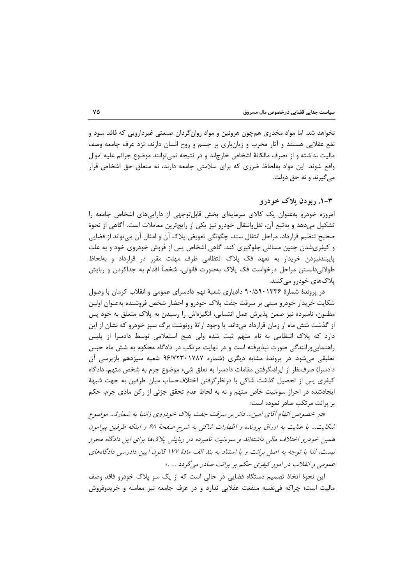نخواهد شد. اما مواد مخدری همچون هروئین و مواد روان گردان صنعتی غیردارویی که فاقد سود و نفع عقلایی هستند و آثار مخرب و زیانباری بر جسم و روح انسان دارند، نزد عرف جامعه وصف مالیت نداشته و از تصرف مالکانهٔ اشخاص خارجاند و در نتیجه نمی توانند موضوع جرائم علیه اموال واقع شوند. این مواد بهلحاظ ضرری که برای سلامتی جامعه دارند، نه متعلق حق اشخاص قرار مي گيرند و نه حق دولت.

#### ۳-۱. ريو دن پلاک خو درو

امروزه خودرو بهعنوان یک کالای سرمایهای بخش قابلتوجهی از داراییهای اشخاص جامعه را تشكيل مي‹هد و بهتبع آن، نقلوانتقال خودرو نيز يكي از رايجترين معاملات است. آگاهي از نحوهٔ صحیح تنظیم قرارداد، مراحل انتقال سند، چگونگی تعویض پلاک آن و امثال آن میتواند از قضایی و کیفریشدن چنین مسائلی جلوگیری کند. گاهی اشخاص پس از فروش خودروی خود و به علت پایبندنبودن خریدار به تعهد فک پلاک انتظامی ظرف مهلت مقرر در قرارداد و بهلحاظ طولانی دانستن مراحل درخواست فک پلاک بهصورت قانونی، شخصاً اقدام به جداکردن و ربایش پلاکھای خودرو می کنند.

در پروندهٔ شمارهٔ ۹۰/۵۹۰۱۳۳۶ دادیاری شعبهٔ نهم دادسرای عمومی و انقلاب کرمان با وصول شکایت خریدار خودرو مبنی بر سرقت جفت پلاک خودرو و احضار شخص فروشنده بهعنوان اولین مظنون، نامبرده نیز ضمن پذیرش عمل انتسابی، انگیزهاش را رسیدن به پلاک متعلق به خود پس از گذشت شش ماه از زمان قرارداد میداند. با وجود ارائهٔ رونوشت برگ سبز خودرو که نشان از این دارد که پلاک انتظامی به نام متهم ثبت شده ولی هیچ استعلامی توسط دادسرا از پلیس راهنمایی ورانندگی صورت نیذیرفته است و در نهایت مرتکب در دادگاه محکوم به شش ماه حبس تعلیقی میشود. در پروندهٔ مشابه دیگری (شماره ۹۶/۷۲۳۰۱۷۸۷ شعبه سیزدهم بازپرسی آن دادسرا) صرفنظر از ایرادنگرفتن مقامات دادسرا به تعلق شیء موضوع جرم به شخص متهم، دادگاه كيفري پس از تحصيل گذشت شاكي با درنظرگرفتن اختلافحساب ميان طرفين به جهت شبههٔ ایجادشده در احراز سوءنیت خاص متهم و نه به لحاظ عدم تحقق جزئی از رکن مادی جرم، حکم بر برائت مرتکب صادر نموده است:

«در خصوص اتهام آقای امین... دائر بر سرقت جفت پلاک خودروی زانتیا به شمارهٔ... موضوع شکایت... با عنایت به اوراق پرونده و اظهارات شاکی به شرح صفحهٔ ۶۸ و اینکه طرفین پیرامون همین خودرو اختلاف مالی داشتهاند و سوءنیت نامبرده در ریایش پلاکها برای این دادگاه محرز نیست، لذا با توجه به اصل برائت و با استناد به بند الف مادهٔ ۱۷۷ قانون آیین دادرسی دادگاههای عمومي و انقلاب در امور کيفري حکم بر برائت صادر مي گردد … .»

این نحوهٔ اتخاذ تصمیم دستگاه قضایی در حالی است که از یک سو پلاک خودرو فاقد وصف مالیت است؛ چراکه فیiفسه منفعت عقلایی ندارد و در عرف جامعه نیز معامله و خریدوفروش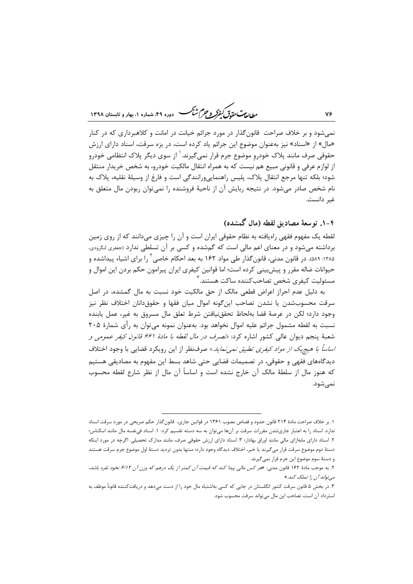ر<br>مط *لا*م متحق*دق گفتر و جرم شنگ* دوده ۴۹ شعاره ۱، بعار و تابستان ۱۳۹۸

نمی شود و بر خلاف صراحت قانون گذار در مورد جرائم خیانت در امانت و کلاهبرداری که در کنار «مال» از «اسناد» نیز بهعنوان موضوع این جرائم یاد کرده است، در بزه سرقت، اسناد دارای ارزش حقوقی صرف مانند پلاک خودرو موضوع جرم قرار نمیگیرند. ٰ از سوی دیگر پلاک انتظامی خودرو از لوازم عرفی و قانونی مبیع هم نیست که به همراه انتقال مالکیت خودرو، به شخص خریدار منتقل شود؛ بلکه تنها مرجع انتقال پلاک، پلیس راهنماییورانندگی است و فارغ از وسیلهٔ نقلیه، پلاک به نام شخص صادر میشود. در نتیجه ربایش آن از ناحیهٔ فروشنده را نمیتوان ربودن مال متعلق به غير دانست.

# ۴-۱. توسعهٔ مصادیق لقطه (مال گمشده)

لقطه یک مفهوم فقهی راهیافته به نظام حقوقی ایران است و آن را چیزی میدانند که از روی زمین برداشته می شود و در معنای اعم مالی است که گمشده و کسی بر آن تسلطی ندارد (جعفری لنگرودی، ۱۳۸۵: ۵۸۹). در قانون مدنی، قانون *گ*ذار طی مواد ۱۶۲ به بعد احکام خاصی <sup>۲</sup> را برای اشیاء پیداشده و حیوانات ضاله مقرر و پیشبینی کرده است؛ اما قوانین کیفری ایران پیرامون حکم بردن این اموال و مسئوليت كيفرى شخص تصاحب كننده ساكت هستند. ّ

به دلیل عدم احراز اعراض قطعی مالک از حق مالکیت خود نسبت به مال گمشده، در اصل سرقت محسوبشدن يا نشدن تصاحب اين گونه اموال ميان فقها و حقوق‹انان اختلاف نظر نيز وجود دارد؛ لكن در عرصة قضا بهلحاظ تحققنيافتن شرط تعلق مال مسروق به غير، عمل يابنده نسبت به لقطه مشمول جرائم علیه اموال نخواهد بود. بهعنوان نمونه می¤وان به رأی شمارهٔ ۲۰۵ شعبهٔ پنجم دیوان عالی کشور اشاره کرد: «*تصرف در مال لقطه با مادهٔ ۶۶۱ قانون کیفر عمومی و اساساً با هيچيک از مواد کيفري تطبيق نمي نمايد*.» صرفنظر از اين رويکرد قضايي با وجود اختلاف دیدگاههای فقهی و حقوقی، در تصمیمات قضایی حتی شاهد بسط این مفهوم به مصادیقی هستیم که هنوز مال از سلطهٔ مالک آن خارج نشده است و اساساً آن مال از نظر شارع لقطه محسوب نمي شود.

٧۶

۱. بر خلاف صراحت مادهٔ ۲۱۴ قانون حدود و قصاص مصوب ۱۳۶۱ در قوانین جاری، قانون گذار حکم صریحی در مورد سرقت اسناد ندارد. اسناد را به اعتبار جاریشدن مقررات سرقت بر آنها می توان به سه دسته تقسیم کرد: ۱. اسناد فینفسه مال مانند اسکناس؛ ۲. اسناد دارای مابهازای مالی مانند اوراق بهادار؛ ۳. اسناد دارای ارزش حقوقی صرف، مانند مدارک تحصیلی. اگرچه در مورد اینکه دستهٔ دوم موضوع سرقت قرار می¢یرند یا خیر، اختلاف دیدگاه وجود دارد؛ منتها بدون تردید دستهٔ اول موضوع جرم سرقت هستند و دستهٔ سوم موضوع این جرم قرار نمیگیرند.

۲. به موجب مادهٔ ۱۶۲ قانون مدنی: «*هر کس مالی پیدا کند که قیمت آن کمتر از* ی*ک درهم که وزن آن ۶/۱۲ نخود نقره باشد،* مے تواند آن را تملک کند.»

۳. در بخش ۵ قانون سرقت کشور انگلستان در جایی که کسی بهاشتباه مال خود را از دست می(دهد و دریافتکننده قانوناً موظف به استرداد آن است، تصاحب این مال میتواند سرقت محسوب شود.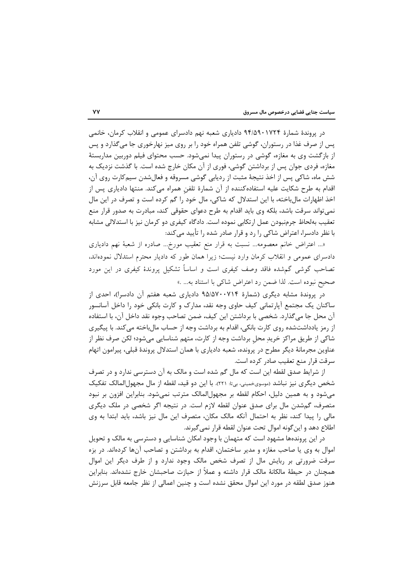در پروندهٔ شمارهٔ ۹۴/۵۹۰۱۷۲۴ دادیاری شعبه نهم دادسرای عمومی و انقلاب کرمان، خانمی پس از صرف غذا در رستوران، گوشی تلفن همراه خود را بر روی میز نهارخوری جا میگذارد و پس از بازگشت وی به مغازه، گوشی در رستوران پیدا نمی شود. حسب محتوای فیلم دوربین مداربستهٔ مغازه، فردی جوان پس از برداشتن گوشی، فوری از آن مکان خارج شده است. با گذشت نزدیک به شش ماه، شاکی پس از اخذ نتیجهٔ مثبت از ردیابی گوشی مسروقه و فعالشدن سیمکارت روی آن، اقدام به طرح شکایت علیه استفادهکننده از آن شمارهٔ تلفن همراه میکند. منتها دادیاری پس از اخذ اظهارات مالباخته، با این استدلال که شاکی، مال خود را گم کرده است و تصرف در این مال نمی تواند سرقت باشد، بلکه وی باید اقدام به طرح دعوای حقوقی کند، مبادرت به صدور قرار منع تعقیب بهلحاظ جرمنبودن عمل ارتکابی نموده است. دادگاه کیفری دو کرمان نیز با استدلالی مشابه با نظر دادسرا، اعتراض شاکی را رد و قرار صادر شده را تأیید می کند:

«… اعتراض خانم معصومه… نسبت به قرار منع تعقیب مورخ… صادره از شعبهٔ نهم دادیاری دادسرای عمومی و انقلاب کرمان وارد نیست؛ زیرا همان طور که دادیار محترم استدلال نمودهاند، تصاحب گوشی گم شده فاقد وصف کیفری است و اساساً تشکیل پروندهٔ کیفری در این مورد صحيح نبوده است. لذا ضمن رد اعتراض شاكي با استناد به... .»

در پروندهٔ مشابه دیگری (شمارهٔ ۹۵/۵۷۰۰۷۱۴ دادیاری شعبه هفتم آن دادسرا)، احدی از ساکنان یک مجتمع آپارتمانی کیف حاوی وجه نقد، مدارک و کارت بانکی خود را داخل آسانسور آن محل جا می گذارد. شخصی با برداشتن این کیف، ضمن تصاحب وجوه نقد داخل آن، با استفاده از رمز یادداشتشده روی کارت بانکی، اقدام به برداشت وجه از حساب مالباخته میکند. با پیگیری شاكي از طريق مراكز خريد محل برداشت وجه از كارت، متهم شناسايي ميشود؛ لكن صرف نظر از عناوین مجرمانهٔ دیگر مطرح در پرونده، شعبه دادیاری با همان استدلال پروندهٔ قبلی، پیرامون اتهام سرقت قرار منع تعقيب صادر كرده است.

از شرایط صدق لقطه این است که مال گم شده است و مالک به آن دسترسی ندارد و در تصرف شخص دیگری نیز نباشد (موسویخمینی، بی¤: ۲۲۱). با این دو قید، لقطه از مال مجهول|لمالک تفکیک میشود و به همین دلیل، احکام لقطه بر مجهولالمالک مترتب نمیشود. بنابراین افزون بر نبود متصرف، گمشدن مال برای صدق عنوان لقطه لازم است. در نتیجه اگر شخصی در ملک دیگری مالی را پیدا کند، نظر به احتمال آنکه مالک مکان، متصرف این مال نیز باشد، باید ابتدا به وی اطلاع دهد و این گونه اموال تحت عنوان لقطه قرار نمی گیرند.

در این پروندهها مشهود است که متهمان با وجود امکان شناسایی و دسترسی به مالک و تحویل اموال به وی یا صاحب مغازه و مدیر ساختمان، اقدام به برداشتن و تصاحب آنها کردهاند. در بزه سرقت ضرورتی بر ربایش مال از تصرف شخص مالک وجود ندارد و از طرف دیگر این اموال همچنان در حیطهٔ مالکانهٔ مالک قرار داشته و عملاً از حیازت صاحبشان خارج نشدهاند. بنابراین هنوز صدق لطقه در مورد این اموال محقق نشده است و چنین اعمالی از نظر جامعه قابل سرزنش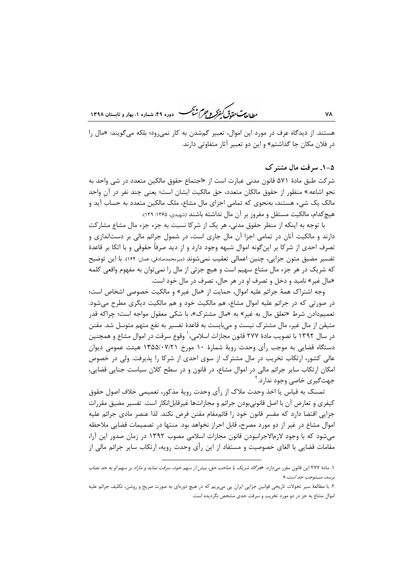هستند. از دیدگاه عرف در مورد این اموال، تعبیر گمشدن به کار نمی رود؛ بلکه میگویند: «مال را در فلان مكان جا گذاشتم» و اين دو تعبير آثار متفاوتي دارند.

ر ...<br>رواد<del>ی تحقیق کفرکر و جرم شنگ</del> هوده ۴۹ شهاره ۱، بعاد و قابستان ۱۳۹۸

#### ۵-۱. سرقت مال مشترک

شركت طبق مادهٔ ۵۷۱ قانون مدنى عبارت است از «اجتماع حقوق مالكين متعدد در شي واحد به نحو اشاعه.» منظور از حقوق مالكان متعدد، حق مالكيت ايشان است؛ يعني چند نفر در آن واحد مالک یک شیء هستند، بهنحوی که تمامی اجزای مال مشاع، ملک مالکین متعدد به حساب آید و هیچ کدام، مالکیت مستقل و مفروز بر آن مال نداشته باشند (شهیدی، ۱۳۶۵: ۱۳۹).

با توجه به اینکه از منظر حقوق مدنی، هر یک از شرکا نسبت به جزء جزء مال مشاع مشارکت دارند و مالکیت آنان در تمامی اجزا آن مال جاری است، در شمول جرائم مالی بر دستاندازی و تصرف احدی از شرکا بر این ًگونه اموال شبهه وجود دارد و از دید صرفاً حقوقی و با اتکا بر قاعدهٔ تفسیر مضیق متون جزایی، چنین اعمالی تعقیب نمیشوند (میرمحمدصادقی، همان: ۱۶۴). با این توضیح که شریک در هر جزء مال مشاع سهیم است و هیچ جزئی از مال را نمی توان به مفهوم واقعی کلمه «مال غیر» نامید و دخل و تصرف او در هر حال، تصرف در مال خود است.

وجه اشتراک همهٔ جرائم علیه اموال، حمایت از «مال غیر» و مالکیت خصوصی اشخاص است؛ در صورتي كه در جرائم عليه اموال مشاع، هم مالكيت خود و هم مالكيت ديگري مطرح مي شود. تعمیمدادن شرط «تعلق مال به غیر» به «مال مشترک»، با شکی معقول مواجه است؛ چراکه قدر متيقن از مال غير، مال مشترک نيست و مي،بايست به قاعدۀ تفسير به نفع متهم متوسل شد. مقنن در سال ۱۳۹۲ با تصویب مادهٔ ۲۷۷ قانون مجازات اسلامی، ٰ وقوع سرقت در اموال مشاع و همچنین دستگاه قضایی به موجب رأی وحدت رویهٔ شمارهٔ ۱۰ مورخ ۱۳۵۵/۰۷/۲۱ هیئت عمومی دیوان عالی کشور، ارتکاب تخریب در مال مشترک از سوی احدی از شرکا را پذیرفت. ولی در خصوص امکان ارتکاب سایر جرائم مالی در اموال مشاع، در قانون و در سطح کلان سیاست جنایی قضایی، جهت گیری خاصی وجود ندارد. ٔ

تمسک به قیاس یا اخذ وحدت ملاک از رأی وحدت رویهٔ مذکور، تعمیمی خلاف اصول حقوق کیفری و تعارض آن با اصل قانونی,بودن جرائم و مجازاتها غیرقابل|نکار است. تفسیر مضیق مقررات جزایی اقتضا دارد که مفسر قانون خود را قائممقام مقنن فرض نکند. لذا عنصر مادی جرائم علیه اموال مشاع در غیر از دو مورد مصرح، قابل احراز نخواهد بود. منتها در تصمیمات قضایی ملاحظه می شود که با وجود لازمالاجرانبودن قانون مجازات اسلامی مصوب ۱۳۹۲ در زمان صدور این آرا، مقامات قضایی با الغای خصوصیت و مستفاد از این رأی وحدت رویه، ارتکاب سایر جرائم مالی از

۱. مادهٔ ۲۷۷ این قانون مقرر میدارد: «*هرگاه شریک یا صاحب حق، بیش از سهم خود، سرقت نماید و مازاد بر سهم او به حد نصاب* برسد، مستوجب حد *است*.»

٢. با مطالعهٔ سیر تحولات تاریخی قوانین جزایی ایران یی می بریم که در هیچ دورمای به صورت صریح و روشن، تکلیف جرائم علیه اموال مشاع به جز در دو مورد تخریب و سرقت حدی مشخص نگردیده است.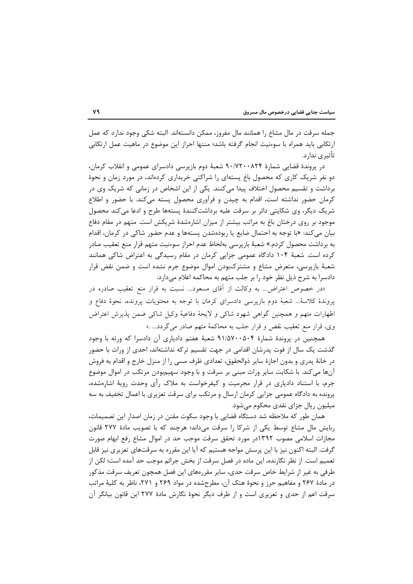جمله سرقت در مال مشاع را همانند مال مفروز، ممكن دانستهاند. البته شكى وجود ندارد كه عمل ارتکابی باید همراه با سوءنیت انجام گرفته باشد؛ منتها احراز این موضوع در ماهیت عمل ارتکابی تأثیری ندارد.

در پروندهٔ قضایی شمارهٔ ۹۰/۷۲۰۰۸۲۴ شعبهٔ دوم بازپرسی دادسرای عمومی و انقلاب کرمان، دو نفر شریک کاری که محصول باغ پستهای را شراکتی خریداری کردهاند، در مورد زمان و نحوهٔ برداشت و تقسیم محصول اختلاف پیدا میکنند. یکی از این اشخاص در زمانی که شریک وی در کرمان حضور نداشته است، اقدام به چیدن و فرآوری محصول پسته میکند. با حضور و اطلاع شریک دیگر، وی شکایتی دائر بر سرقت علیه برداشتکنندهٔ پستهها طرح و ادعا میکند محصول موجود بر روی درختان باغ به مراتب بیشتر از میزان اشارهشدهٔ شریکش است. متهم در مقام دفاع بيان مي كند: «با توجه به احتمال ضايع يا ربودهشدن پستهها و عدم حضور شاكي در كرمان، اقدام به برداشت محصول کردم.» شعبهٔ بازپرسی بهلحاظ عدم احراز سوءنیت متهم قرار منع تعقیب صادر کرده است. شعبهٔ ۱۰۴ دادگاه عمومی جزایی کرمان در مقام رسیدگی به اعتراض شاکی همانند شعبهٔ بازپرسی، متعرض مشاع و مشترکبودن اموال موضوع جرم نشده است و ضمن نقض قرار دادسرا به شرح ذیل نظر خود ٫ا بر جلب متهم به محاکمه اعلام مے دارد:

«در خصوص اعتراض... به وكالت از أقاى مسعود... نسبت به قرار منع تعقيب صادره در پروندهٔ کلاسهٔ... شعبهٔ دوم بازیرسی دادسرای کرمان با توجه به محتویات پرونده، نحوهٔ دفاع و اظهارات متهم و همچنین گواهی شهود شاکی و لایحهٔ دفاعیهٔ وکیل شاکی ضمن پذیرش اعتراض وي، قرار منع تعقيب نقض و قرار جلب به محاكمهٔ متهم صادر مي گردد... .»

همچنین در پروندهٔ شمارهٔ ۹۱/۵۷۰۰۵۰۴ شعبهٔ هفتم دادیاری آن دادسرا که ورثه با وجود گذشت یک سال از فوت پدرشان اقدامی در جهت تقسیم ترکه نداشتهاند، احدی از وراث با حضور در خانهٔ پدری و بدون اجازهٔ سایر ذوالحقوق، تعدادی ظرف مسی را از منزل خارج و اقدام به فروش آنها می کند. با شکایت سایر وراث مبنی بر سرقت و با وجود سهیمبودن مرتکب در اموال موضوع جرم، با استناد دادیاری در قرار مجرمیت و کیفرخواست به ملاک رأی وحدت رویهٔ اشارهشده، پرونده به دادگاه عمومی جزایی کرمان ارسال و مرتکب برای سرقت تعزیری با اعمال تخفیف به سه میلیون ریال جزای نقدی محکوم میشود.

همان طور که ملاحظه شد دستگاه قضایی با وجود سکوت مقنن در زمان اصدار این تصمیمات، ربایش مال مشاع توسط یکی از شرکا را سرقت میداند؛ هرچند که با تصویب مادهٔ ۲۷۷ قانون مجازات اسلامی مصوب ۱۳۹۲در مورد تحقق سرقت موجب حد در اموال مشاع رفع ابهام صورت گرفت. البته اکنون نیز با این پرسش مواجه هستیم که آیا این مقرره به سرقتهای تعزیری نیز قابل تعميم است. از نظر نگارنده، اين ماده در فصل سرقت از بخش جرائم موجب حد آمده است؛ لكن از طرفی به غیر از شرایط خاص سرقت حدی، سایر مقررههای این فصل همچون تعریف سرقت مذکور در مادهٔ ۲۶۷ و مفاهیم حرز و نحوهٔ هتک آن، مطرحشده در مواد ۲۶۹ و ۲۷۱، ناظر به کلیهٔ مراتب سرقت اعم از حدی و تعزیری است و از طرف دیگر نحوهٔ نگارش مادهٔ ۲۷۷ این قانون بیانگر آن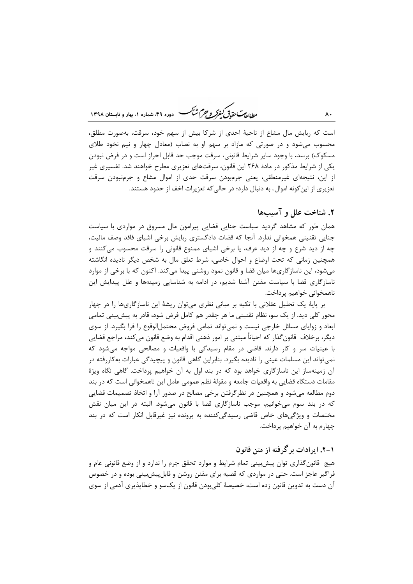ر .<br>رواداد<del>یمت مقدقی کفرکر و جرم شنگ هست دوده ۴۹</del>، شعاره ۱، بعاد و قابستان ۱۳۹۸

است که ربایش مال مشاع از ناحیهٔ احدی از شرکا بیش از سهم خود، سرقت، بهصورت مطلق، محسوب میشود و در صورتی که مازاد بر سهم او به نصاب (معادل چهار و نیم نخود طلای مسکوک) برسد، با وجود سایر شرایط قانونی، سرقت موجب حد قابل احراز است و در فرض نبودن یکی از شرایط مذکور در مادهٔ ۲۶۸ این قانون، سرقتهای تعزیری مطرح خواهند شد. تفسیری غیر از این، نتیجهای غیرمنطقی، یعنی جرمبودن سرقت حدی از اموال مشاع و جرمنبودن سرقت تعزیری از این گونه اموال، به دنبال دارد؛ در حالی که تعزیرات اخف از حدود هستند.

## ٢. شناخت علل و آسيبها

همان طور که مشاهد گردید سیاست جنایی قضایی پیرامون مال مسروق در مواردی با سیاست جنایی تقنینی همخوانی ندارد. آنجا که قضات دادگستری ربایش برخی اشیای فاقد وصف مالیت، چه از دید شرع و چه از دید عرف، یا برخی اشیای ممنوع قانونی را سرقت محسوب میکنند و همچنین زمانی که تحت اوضاع و احوال خاصی، شرط تعلق مال به شخص دیگر نادیده انگاشته میشود، این ناسازگاریها میان قضا و قانون نمود روشنی پیدا میکند. اکنون که با برخی از موارد ناسازگاری قضا با سیاست مقنن آشنا شدیم، در ادامه به شناسایی زمینهها و علل پیدایش این ناهمخواني خواهيم پرداخت.

بر پایهٔ یک تحلیل عقلانی با تکیه بر مبانی نظری میتوان ریشهٔ این ناسازگاریها را در چهار محور کلی دید. از یک سو، نظام تقنینی ما هر چقدر هم کامل فرض شود، قادر به پیش بینی تمامی ابعاد و زوایای مسائل خارجی نیست و نمی تواند تمامی فروض محتمل|لوقوع را فرا بگیرد. از سوی ديگر، برخلاف قانون گذار كه احياناً مبتني بر امور ذهني اقدام به وضع قانون مي كند، مراجع قضايي با عینیات سر و کار دارند. قاضی در مقام رسیدگی با واقعیات و مصالحی مواجه میشود که نمی تواند این مسلمات عینی را نادیده بگیرد. بنابراین گاهی قانون و پیچیدگی عبارات بهکاررفته در آن زمینهساز این ناسازگاری خواهد بود که در بند اول به آن خواهیم پرداخت. گاهی نگاه ویژهٔ مقامات دستگاه قضایی به واقعیات جامعه و مقولهٔ نظم عمومی عامل این ناهمخوانی است که در بند دوم مطالعه میشود و همچنین در نظرگرفتن برخی مصالح در صدور آرا و اتخاذ تصمیمات قضایی که در بند سوم میخوانیم، موجب ناسازگاری قضا با قانون میشود. البته در این میان نقش مختصات و ویژگیهای خاص قاضی رسیدگی کننده به پرونده نیز غیرقابل انکار است که در بند چهارم به آن خواهیم پرداخت.

## ۰۱–۲. ایرادات برگرفته از متن قانون

هیچ قانونگذاری توان پیش بینی تمام شرایط و موارد تحقق جرم را ندارد و از وضع قانونی عام و فراگیر عاجز است. حتی در مواردی که قضیه برای مقنن روشن و قابلپیش بینی بوده و در خصوص آن دست به تدوین قانون زده است، خصیصهٔ کلیبودن قانون از یکسو و خطاپذیری آدمی از سوی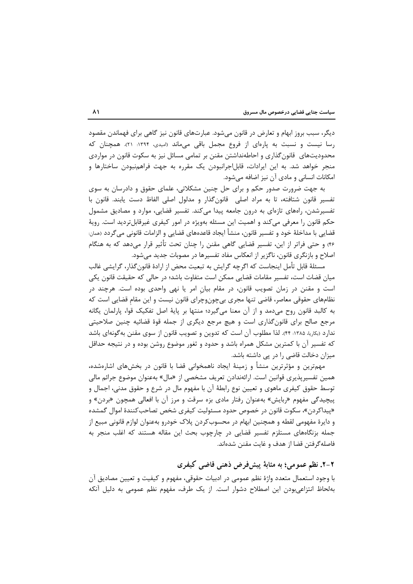دیگر، سبب بروز ابهام و تعارض در قانون میشود. عبارتهای قانون نیز گاهی برای فهماندن مقصود رسا نیست و نسبت به پارهای از فروع مجمل باقی میماند (امیدی، ۱۳۹۴: ۲۱). همچنان که محدودیتهای قانون گذاری و احاطهنداشتن مقنن بر تمامی مسائل نیز به سکوت قانون در مواردی منجر خواهد شد. به این ایرادات، قابل|جرانبودن یک مقرره به جهت فراهمنبودن ساختارها و امکانات انسانی و مادی آن نیز اضافه میشود.

به جهت ضرورت صدور حکم و برای حل چنین مشکلاتی، علمای حقوق و دادرسان به سوی تفسیر قانون شتافته، تا به مراد اصلی ِ قانونِگذار و مدلول اصلی الفاظ دست یابند. قانون با تفسیرشدن، راههای تازهای به درون جامعه پیدا میکند. تفسیر قضایی، موارد و مصادیق مشمول حکم قانون را معرفی میکند و اهمیت این مسئله بهویژه در امور کیفری غیرقابلتردید است. رویهٔ قضايي با مداخلهٔ خود و تفسير قانون، منشأ ايجاد قاعدههاي قضايي و الزامات قانوني ميﮔردد (ممان: ۴۶) و حتی فراتر از این، تفسیر قضایی گاهی مقنن را چنان تحت تأثیر قرار میدهد که به هنگام اصلاح و بازنگری قانون، ناگزیر از انعکاس مفاد تفسیرها در مصوبات جدید می شود.

مسئلهٔ قابل تأمل اینجاست که اگرچه گرایش به تبعیت محض از ارادهٔ قانون گذار، گرایشی غالب میان قضات است، تفسیر مقامات قضایی ممکن است متفاوت باشد؛ در حالی که حقیقت قانون یکی است و مقنن در زمان تصویب قانون، در مقام بیان امر یا نهی واحدی بوده است. هرچند در نظامهای حقوقی معاصر، قاضی تنها مجری بیچونوچرای قانون نیست و این مقام قضایی است که به كالبد قانون روح مى دمد و از آن معنا مى گيرد؛ منتها بر پايهٔ اصل تفكيک قوا، پارلمان يگانه مرجع صالح برای قانونگذاری است و هیچ مرجع دیگری از جمله قوهٔ قضائیه چنین صلاحیتی ندارد (بکاریا، ۱۳۸۵: ۴۴). لذا مطلوب آن است که تدوین و تصویب قانون از سوی مقنن بهگونهای باشد که تفسیر آن با کمترین مشکل همراه باشد و حدود و ثغور موضوع روشن بوده و در نتیجه حداقل میزان دخالت قاضی را در پی داشته باشد.

مهمترین و مؤثرترین منشأ و زمینهٔ ایجاد ناهمخوانی قضا با قانون در بخشهای اشارهشده، همین تفسیرپذیری قوانین است. ارائهندادن تعریف مشخصی از «مال» بهعنوان موضوع جرائم مالی توسط حقوق کیفری ماهوی و تعیین نوع رابطهٔ آن با مفهوم مال در شرع و حقوق مدنی، اجمال و پیچیدگی مفهوم «ربایش» بهعنوان رفتار مادی بزه سرقت و مرز آن با افعالی همچون «بردن» و «پیداکردن»، سکوت قانون در خصوص حدود مسئولیت کیفری شخص تصاحبکنندهٔ اموال گمشده و دايرهٔ مفهومي لقطه و همچنين ابهام در محسوبکردن پلاک خودرو بهعنوان لوازم قانوني مبيع از جمله بزنگاههای مستلزم تفسیر قضایی در چارچوب بحث این مقاله هستند که اغلب منجر به فاصله گرفتن قضا از هدف و غايت مقنن شدهاند.

## ۲-۲. نظم عمومی؛ به مثابهٔ پیشفرض ذهنی قاضی کیفری

با وجود استعمال متعدد واژهٔ نظم عمومی در ادبیات حقوقی، مفهوم و کیفیت و تعیین مصادیق آن بهلحاظ انتزاعی بودن این اصطلاح دشوار است. از یک طرف، مفهوم نظم عمومی به دلیل آنکه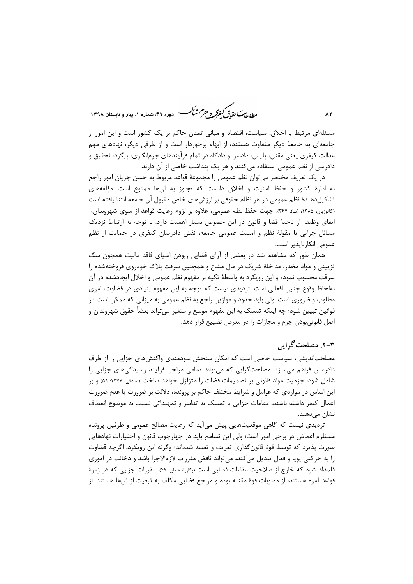ر<br>را داد<del>یم تحقیقی کفرکر و جرم شنگ ه</del> دوده ۴۹، شعاره ۱، بعاد و تابستان ۱۳۹۸

مسئلهای مرتبط با اخلاق، سیاست، اقتصاد و مبانی تمدن حاکم بر یک کشور است و این امور از جامعهای به جامعهٔ دیگر متفاوت هستند، از ابهام برخوردار است و از طرفی دیگر، نهادهای مهم عدالت کیفری یعنی مقنن، پلیس، دادسرا و دادگاه در تمام فرآیندهای جرمانگاری، پیگرد، تحقیق و دادرسی از نظم عمومی استفاده می کنند و هر یک پنداشت خاصی از آن دارند.

در يک تعريف مختصر مي توان نظم عمومي را مجموعهٔ قواعد مربوط به حسن جريان امور راجع به ادارهٔ کشور و حفظ امنیت و اخلاق دانست که تجاوز به آنها ممنوع است. مؤلفههای تشکیلدهندهٔ نظم عمومی در هر نظام حقوقی بر ارزشهای خاص مقبول آن جامعه ابتنا یافته است (كاتوزيان، ١٣٨۵، (ب): ٣۶٧). جهت حفظ نظم عمومي، علاوه بر لزوم رعايت قواعد از سوى شهروندان، ايفاي وظيفه از ناحيهٔ قضا و قانون در اين خصوص بسيار اهميت دارد. با توجه به ارتباط نزديک مسائل جزایی با مقولهٔ نظم و امنیت عمومی جامعه، نقش دادرسان کیفری در حمایت از نظم عمومے انکا,نایذیر است.

همان طور که مشاهده شد در بعضی از آرای قضایی ربودن اشیای فاقد مالیت همچون سگ تزیینی و مواد مخدر، مداخلهٔ شریک در مال مشاع و همچنین سرقت پلاک خودروی فروختهشده را سرقت محسوب نموده و این رویکرد به واسطهٔ تکیه بر مفهوم نظم عمومی و اخلال ایجادشده در آن بهلحاظ وقوع چنین افعالی است. تردیدی نیست که توجه به این مفهوم بنیادی در قضاوت، امری مطلوب و ضروری است. ولی باید حدود و موازین راجع به نظم عمومی به میزانی که ممکن است در قوانین تبیین شود؛ چه اینکه تمسک به این مفهوم موسع و متغیر میتواند بعضاً حقوق شهروندان و اصل قانونیبودن جرم و مجازات را در معرض تضییع قرار دهد.

## ۳-۲. مصلحت گرایی

مصلحتاندیشی، سیاست خاصی است که امکان سنجش سودمندی واکنشهای جزایی را از طرف دادرسان فراهم میسازد. مصلحتگرایی که می تواند تمامی مراحل فرآیند رسیدگیهای جزایی را شامل شود، جزمیت مواد قانونی بر تصمیمات قضات را متزلزل خواهد ساخت (صادقی، ۱۳۷۷: ۵۹) و بر این اساس در مواردی که عوامل و شرایط مختلف حاکم بر پرونده، دلالت بر ضرورت یا عدم ضرورت اعمال کیفر داشته باشند، مقامات جزایی با تمسک به تدابیر و تمهیداتی نسبت به موضوع انعطاف نشان مے دھند.

تردیدی نیست که گاهی موقعیتهایی پیش میآید که رعایت مصالح عمومی و طرفین پرونده مستلزم اغماض در برخی امور است؛ ولی این تسامح باید در چهارچوب قانون و اختیارات نهادهایی صورت پذیرد که توسط قوهٔ قانون گذاری تعریف و تعبیه شدهاند؛ وگرنه این رویکرد، اگرچه قضاوت را به حرکتی پویا و فعال تبدیل میکند، میتواند ناقض مقررات لازمالاجرا باشد و دخالت در اموری قلمداد شود که خارج از صلاحیت مقامات قضایی است (بکاریا، همان: ۴۴). مقررات جزایی که در زمرهٔ قواعد آمره هستند، از مصوبات قوهٔ مقننه بوده و مراجع قضایی مکلف به تبعیت از آنها هستند. از

 $\lambda$ ۲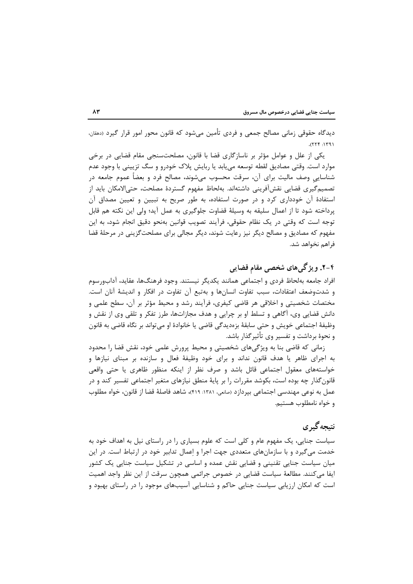دیدگاه حقوقی زمانی مصالح جمعی و فردی تأمین میشود که قانون محور امور قرار گیرد (دهقان،  $1971: 777.$ 

یکی از علل و عوامل مؤثر بر ناسازگاری قضا با قانون، مصلحتسنجی مقام قضایی در برخی موارد است. وقتی مصادیق لقطه توسعه می بابد یا ربایش پلاک خودرو و سگ تزیینی با وجود عدم شناسایی وصف مالیت برای آن، سرقت محسوب میشوند، مصالح فرد و بعضاً عموم جامعه در تصميم گيري قضايي نقشآفريني داشتهاند. بهلحاظ مفهوم گستردهٔ مصلحت، حتىالامكان بايد از استفادهٔ آن خودداری کرد و در صورت استفاده، به طور صریح به تبیین و تعیین مصداق آن پرداخته شود تا از اعمال سلیقه به وسیلهٔ قضاوت جلوگیری به عمل آید؛ ولی این نکته هم قابل توجه است که وقتی در یک نظام حقوقی، فرآیند تصویب قوانین بهنحو دقیق انجام شود، به این مفهوم که مصادیق و مصالح دیگر نیز رعایت شوند، دیگر مجالی برای مصلحتگزینی در مرحلهٔ قضا فراهم نخواهد شد.

# ۴-۲. ویژگیهای شخصی مقام قضایی

افراد جامعه بهلحاظ فردى و اجتماعي همانند يكديگر نيستند. وجود فرهنگـها، عقايد، آدابورسوم و شدتوضعف اعتقادات، سبب تفاوت انسانها و بهتبع آن تفاوت در افكار و انديشهٔ آنان است. مختصات شخصیتی و اخلاقی هر قاضی کیفری، فرآیند رشد و محیط مؤثر بر آن، سطح علمی و دانش قضایی وی، آگاهی و تسلط او بر چرایی و هدف مجازاتها، طرز تفکر و تلقی وی از نقش و وظيفهٔ اجتماعي خويش و حتى سابقهٔ بزەديدگي قاضي يا خانوادهٔ او ميتواند بر نگاه قاضي به قانون و نحوهٔ برداشت و تفسیر وی تأثیر گذار باشد.

زمانی که قاضی بنا به ویژگیهای شخصیتی و محیط پرورش علمی خود، نقش قضا را محدود به اجرای ظاهر یا هدف قانون نداند و برای خود وظیفهٔ فعال و سازنده بر مبنای نیازها و خواستههای معقول اجتماعی قائل باشد و صرف نظر از اینکه منظور ظاهری یا حتی واقعی قانون گذار چه بوده است، بکوشد مقررات را بر پایهٔ منطق نیازهای متغیر اجتماعی تفسیر کند و در عمل به نوعي مهندسي اجتماعي بيردازد (صانعي، ١٣٨١: ٤١٩)، شاهد فاصلهٔ قضا از قانون، خواه مطلوب و خواه نامطلوب هستيم.

# نتىحەگىرى

سیاست جنایی، یک مفهوم عام و کلی است که علوم بسیاری را در راستای نیل به اهداف خود به خدمت میگیرد و با سازمانهای متعددی جهت اجرا و اعمال تدابیر خود در ارتباط است. در این میان سیاست جنایی تقنینی و قضایی نقش عمده و اساسی در تشکیل سیاست جنایی یک کشور ايفا مي كنند. مطالعهٔ سياست قضايي در خصوص جرائمي همچون سرقت از اين نظر واجد اهميت است که امکان ارزیابی سیاست جنایی حاکم و شناسایی آسیبهای موجود را در راستای بهبود و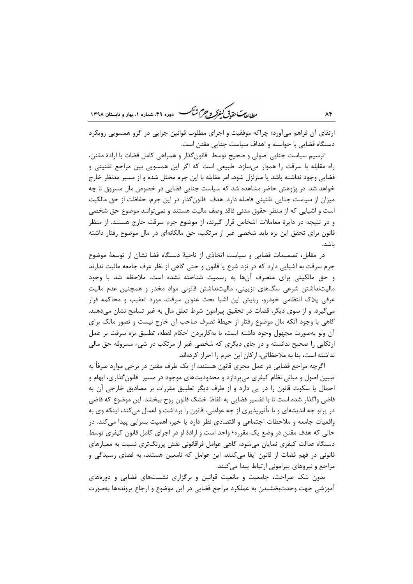ر ای<del>د آن</del> به دست به دست به دوده ۴۹ شهاره ۱، بعاد و قابستان ۱۳۹۸

ارتقای آن فراهم می آورد؛ چراکه موفقیت و اجرای مطلوب قوانین جزایی در گرو همسویی رویکرد دستگاه قضایی با خواسته و اهداف سیاست جنایی مقنن است.

ترسيم سياست جنايي اصولي و صحيح توسط قانون گذار و همراهي كامل قضات با ارادهٔ مقنن، راه مقابله با سرقت را هموار میسازد. طبیعی است که اگر این همسویی بین مراجع تقنینی و قضایی وجود نداشته باشد یا متزلزل شود، امر مقابله با این جرم مختل شده و از مسیر مدنظر خارج خواهد شد. در پژوهش حاضر مشاهده شد که سیاست جنایی قضایی در خصوص مال مسروق تا چه میزان از سیاست جنایی تقنینی فاصله دارد. هدف قانونگذار در این جرم، حفاظت از حق مالکیت است و اشیایی که از منظر حقوق مدنی فاقد وصف مالیت هستند و نمی توانند موضوع حق شخصی و در نتیجه در دایرهٔ معاملات اشخاص قرار گیرند، از موضوع جرم سرقت خارج هستند. از منظر قانون برای تحقق این بزه باید شخصی غیر از مرتکب، حق مالکانهای در مال موضوع رفتار داشته ىاشد.

در مقابل، تصمیمات قضایی و سیاست اتخاذی از ناحیهٔ دستگاه قضا نشان از توسعهٔ موضوع جرم سرقت به اشیایی دارد که در نزد شرع یا قانون و حتی گاهی از نظر عرف جامعه مالیت ندارند و حق مالکیتی برای متصرف آنها به رسمیت شناخته نشده است. ملاحظه شد با وجود مالیتنداشتن شرعی سگ&ای تزیینی، مالیتنداشتن قانونی مواد مخدر و همچنین عدم مالیت عرفی پلاک انتظامی خودرو، ربایش این اشیا تحت عنوان سرقت، مورد تعقیب و محاکمه قرار می گیرد. و از سوی دیگر، قضات در تحقیق پیرامون شرط تعلق مال به غیر تسامح نشان میدهند. گاهی با وجود آنکه مال موضوع رفتار از حیطهٔ تصرف صاحب آن خارج نیست و تصور مالک برای آن ولو بهصورت مجهول وجود داشته است، با بهكاربردن احكام لقطه، تطبيق بزه سرقت بر عمل ارتکابی را صحیح ندانسته و در جای دیگری که شخصی غیر از مرتکب در شیء مسروقه حق مالی نداشته است، بنا به ملاحظاتی، ارکان این جرم را احراز کردهاند.

اگرچه مراجع قضایی در عمل مجری قانون هستند، از یک طرف مقنن در برخی موارد صرفاً به تبیین اصول و مبانی نظام کیفری می پردازد و محدودیتهای موجود در مسیر قانون گذاری، ابهام و اجمال یا سکوت قانون را در پی دارد و از طرف دیگر تطبیق مقررات بر مصادیق خارجی آن به قاضی واگذار شده است تا با تفسیر قضایی به الفاظ خشک قانون روح ببخشد. این موضوع که قاضی در پرتو چه اندیشهای و با تأثیرپذیری از چه عواملی، قانون را برداشت و اعمال میکند، اینکه وی به واقعیات جامعه و ملاحظات اجتماعی و اقتصادی نظر دارد یا خیر، اهمیت بسزایی پیدا می کند. در حالي كه هدف مقنن در وضع يک مقرره٬ واحد است و ارادهٔ او در اجراي كامل قانون كيفري توسط دستگاه عدالت کیفری نمایان می شود، گاهی عوامل فراقانونی نقش پررنگتری نسبت به معیارهای قانونی در فهم قضات از قانون ایفا میکنند. این عوامل که نامعین هستند، به فضای رسیدگی و مراجع و نیروهای پیرامونی ارتباط پیدا میکنند.

بدون شک صراحت، جامعیت و مانعیت قوانین و برگزاری نشستهای قضایی و دورههای آموزشی جهت وحدتبخشیدن به عملکرد مراجع قضایی در این موضوع و ارجاع پروندهها بهصورت

۸۴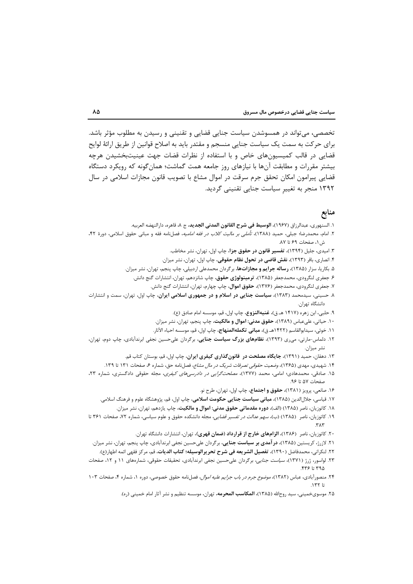تخصصی، می تواند در همسوشدن سیاست جنایی قضایی و تقنینی و رسیدن به مطلوب مؤثر باشد. برای حرکت به سمت یک سیاست جنایی منسجم و مقتدر باید به اصلاح قوانین از طریق ارائهٔ لوایح قضایی در قالب کمیسیونهای خاص و با استفاده از نظرات قضات جهت عینیتبخشیدن هرچه بیشتر مقررات و مطابقت آنها با نیازهای روز جامعه همت گماشت؛ همان گونه که رویکرد دستگاه قضایی پیرامون امکان تحقق جرم سرقت در اموال مشاع با تصویب قانون مجازات اسلامی در سال ۱۳۹۲ منجر به تغییر سیاست جنایی تقنینی گردید.

### منابع

- ١. السنهوري، عبدالرزاق (١٩۶٧)، **الوسيط في شرح القانون المدني الجديد**، ج ٨، قاهره، دارالنهضه العربيه.
- ۲. امام، محمدرضا؛ جبلی، حمید (۱۳۸۸)، *تأملی بر مالیت کلاب در فقه امامیه*، فصلنامه فقه و مبانی حقوق اسلامی، دورهٔ ۴۲، ش ۱، صفحات ۶۹ تا ۸۷.
	- ۳. امیدی، جلیل (۱۳۹۴)، **تفسیر قانون در حقوق جزا**، چاپ اول، تهران، نشر مخاطب.
	- ۴. انصاری، باقر (۱۳۹۳)، **نقش قاضی در تحول نظام حقوقی**، چاپ اول، تهران، نشر میزان.
	- ۵. بکاریا، سزار (۱۳۸۵)، **رساله جرایم و مجازاتها**، برگردان محمدعلی اردبیلی، چاپ پنجم، تهران، نشر میزان.
		- ۶. جعفری لنگرودی، محمدجعفر (۱۳۸۵)، **ترمینولوژی حقوق**، چاپ شانزدهم، تهران، انتشارات گنج دانش.
			- ۷. جعفری لنگرودی، محمدجعفر (۱۳۷۶)، **حقوق اموال**، چاپ چهارم، تهران، انتشارات گنج دانش.
- ۸. حسینی، سیدمحمد (۱۳۸۳)<mark>، سیاست جنایی در اسلام و در جمهوری اسلامی ایران</mark>، چاپ اول، تهران، سمت و انتشارات دانشگاه تهران.
	- ۹. حلبي، ابن زهره (۱۴۱۷ هـ ق)، **غنيهالنزوع،** چاپ اول، قم، موسسه امام صادق (ع).
	- ۱۰. حیاتی، علیعباس (۱۳۸۹)، **حقوق مدنی: اموال و مالکیت**، چاپ پنجم، تهران، نشر میزان.
	- ١١. خوئي، سيدابوالقاسم (١۴٢٢هـ ق)، **مباني تكملهالمنهاج**، چاپ اول، قم، موسسه احياء الآثار.
- ۱۲. دلماس-مارتی، میری (۱۳۹۳)، **نظامهای بزرگ سیاست جنایی**، برگردان علیحسین نجفی ابرندآبادی، چاپ دوم، تهران، نشر ميزان.
	- ۱۳. دهقان، حمید (۱۳۹۱)، **جایگاه مصلحت در قانونگذاری کیفری ایران،** چاپ اول، قم، بوستان کتاب قم.
	- ۱۴. شهیدی، مهدی (۱۳۶۵)، *وضعیت حقوقی تصرفات شریک در مال مشاع،* فصلنامه حق، شماره ۶، صفحات ۱۳۱ تا ۱۳۹.
- ۱۵. صادقی، محمدهادی؛ امامی، محمد (۱۳۷۷)، *مصلحتگرایی در دادرسیهای کیفری*، مجله حقوقی دادگستری، شماره ۲۳، صفحات ۵۷ تا ۹۶.
	- ۱۶. صانعی، پرویز (۱۳۸۱)، حقوق و اجتماع، چاپ اول، تهران، طرح نو.
	- ۱۷. قیاسی، جلالالدین (۱۳۸۵)، **مبانی سیاست جنایی حکومت اسلامی**، چاپ اول، قم، پژوهشگاه علوم و فرهنگ اسلامی.
		- ۱۸. کاتوزیان، ناصر (۱۳۸۵) (الف)، **دوره مقدماتی حقوق مدنی: اموال و مالکیت**، چاپ یازدهم، تهران، نشر میزان.
- ۱۹. کاتوزیان، ناصر (۱۳۸۵) (ب)، *سهم عدالت در تفسیر قضایی*، مجله دانشکده حقوق و علوم سیاسی، شماره ۷۲، صفحات ۳۶۱ تا  $\mathbf{r}$ 
	- ۲۰. کاتوزیان، ناصر (۱۳۸۶)، **الزامهای خارج از قرارداد (ضمان قهری**)، تهران، انتشارات دانشگاه تهران.
- ۲۱. لازرژ، کریستین (۱۳۸۵)، **در آمدی بر سیاست جنایی**، برگردان علیحسین نجفی ابرندآبادی، چاپ پنجم، تهران، نشر میزان.
- ۲۲. لنكراني، محمدفاضل (۱۳۹۰)، <mark>تفصيل الشريعه في شرح تحريرالوسيله؛ كتاب الديات</mark>، قم، مركز فقهي ائمه اطهار(ع).
- ۲۳. لواسور، ژرژ (۱۳۷۱)، *سیاست جنایی*، برگردان علیحسین نجفی ابرندآبادی، تحقیقات حقوقی، شمارههای ۱۱ و ۱۲، صفحات ۳۹۵ تا ۴۳۶.
- ۲۴. منصورآبادی، عباس (۱۳۸۲)، *موضوع جرم در باب جرایم علیه اموال*، فصلنامه حقوق خصوصی، دوره ۱، شماره ۴، صفحات ۱۰۳  $1571$ 
	- ۲۵. موسوىخمينى، سيد روحالله (۱۳۸۵)، **المكاسب المحرمه**، تهران، موسسه تنظيم و نشر آثار امام خمينى (ره).